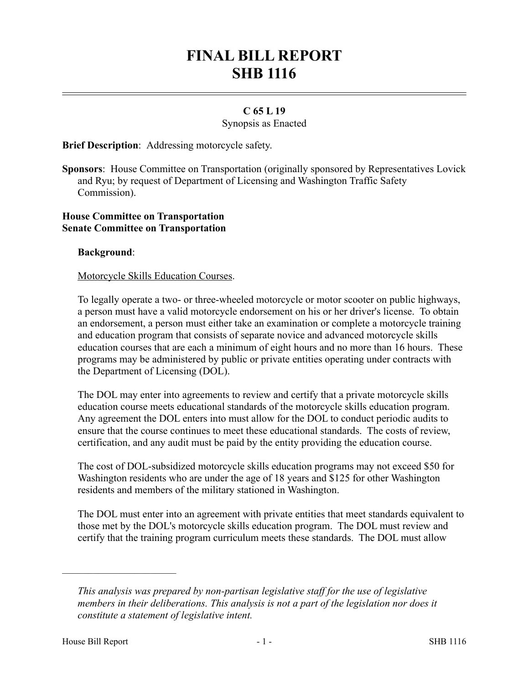# **FINAL BILL REPORT SHB 1116**

## **C 65 L 19**

Synopsis as Enacted

**Brief Description**: Addressing motorcycle safety.

**Sponsors**: House Committee on Transportation (originally sponsored by Representatives Lovick and Ryu; by request of Department of Licensing and Washington Traffic Safety Commission).

#### **House Committee on Transportation Senate Committee on Transportation**

## **Background**:

## Motorcycle Skills Education Courses.

To legally operate a two- or three-wheeled motorcycle or motor scooter on public highways, a person must have a valid motorcycle endorsement on his or her driver's license. To obtain an endorsement, a person must either take an examination or complete a motorcycle training and education program that consists of separate novice and advanced motorcycle skills education courses that are each a minimum of eight hours and no more than 16 hours. These programs may be administered by public or private entities operating under contracts with the Department of Licensing (DOL).

The DOL may enter into agreements to review and certify that a private motorcycle skills education course meets educational standards of the motorcycle skills education program. Any agreement the DOL enters into must allow for the DOL to conduct periodic audits to ensure that the course continues to meet these educational standards. The costs of review, certification, and any audit must be paid by the entity providing the education course.

The cost of DOL-subsidized motorcycle skills education programs may not exceed \$50 for Washington residents who are under the age of 18 years and \$125 for other Washington residents and members of the military stationed in Washington.

The DOL must enter into an agreement with private entities that meet standards equivalent to those met by the DOL's motorcycle skills education program. The DOL must review and certify that the training program curriculum meets these standards. The DOL must allow

––––––––––––––––––––––

*This analysis was prepared by non-partisan legislative staff for the use of legislative members in their deliberations. This analysis is not a part of the legislation nor does it constitute a statement of legislative intent.*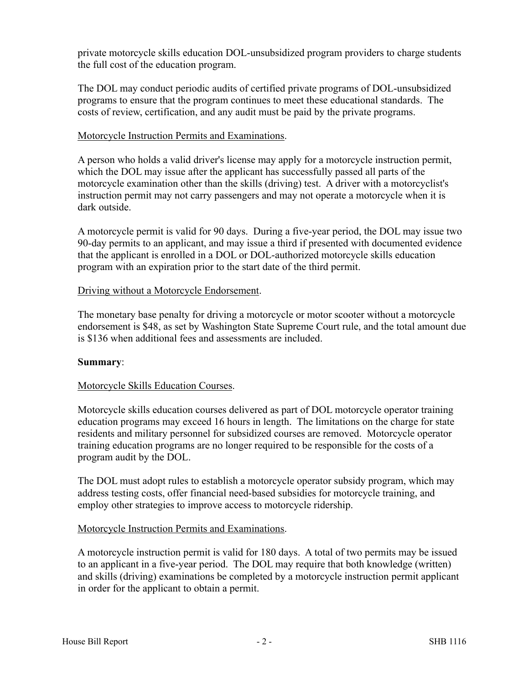private motorcycle skills education DOL-unsubsidized program providers to charge students the full cost of the education program.

The DOL may conduct periodic audits of certified private programs of DOL-unsubsidized programs to ensure that the program continues to meet these educational standards. The costs of review, certification, and any audit must be paid by the private programs.

## Motorcycle Instruction Permits and Examinations.

A person who holds a valid driver's license may apply for a motorcycle instruction permit, which the DOL may issue after the applicant has successfully passed all parts of the motorcycle examination other than the skills (driving) test. A driver with a motorcyclist's instruction permit may not carry passengers and may not operate a motorcycle when it is dark outside.

A motorcycle permit is valid for 90 days. During a five-year period, the DOL may issue two 90-day permits to an applicant, and may issue a third if presented with documented evidence that the applicant is enrolled in a DOL or DOL-authorized motorcycle skills education program with an expiration prior to the start date of the third permit.

## Driving without a Motorcycle Endorsement.

The monetary base penalty for driving a motorcycle or motor scooter without a motorcycle endorsement is \$48, as set by Washington State Supreme Court rule, and the total amount due is \$136 when additional fees and assessments are included.

## **Summary**:

# Motorcycle Skills Education Courses.

Motorcycle skills education courses delivered as part of DOL motorcycle operator training education programs may exceed 16 hours in length. The limitations on the charge for state residents and military personnel for subsidized courses are removed. Motorcycle operator training education programs are no longer required to be responsible for the costs of a program audit by the DOL.

The DOL must adopt rules to establish a motorcycle operator subsidy program, which may address testing costs, offer financial need-based subsidies for motorcycle training, and employ other strategies to improve access to motorcycle ridership.

## Motorcycle Instruction Permits and Examinations.

A motorcycle instruction permit is valid for 180 days. A total of two permits may be issued to an applicant in a five-year period. The DOL may require that both knowledge (written) and skills (driving) examinations be completed by a motorcycle instruction permit applicant in order for the applicant to obtain a permit.